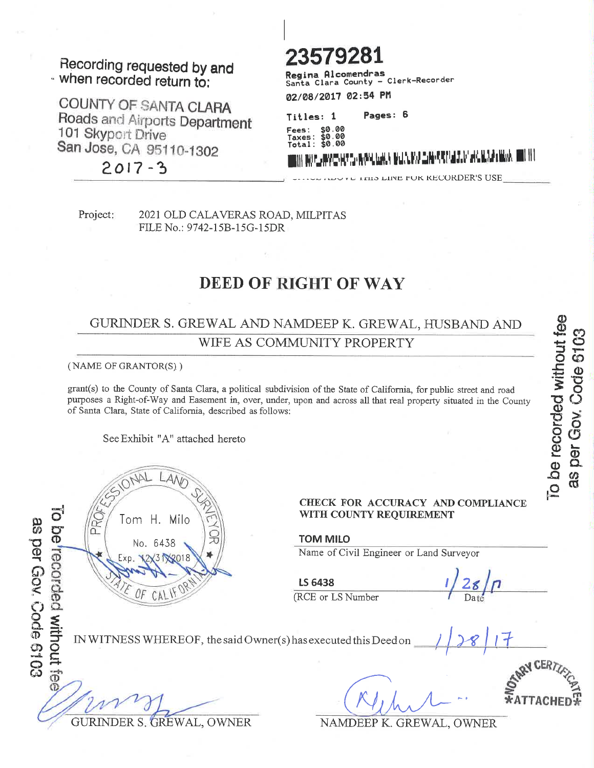#### Recording requested by and . when recorded return to:

COUNTY OF SANTA CLARA Roads and Airports Department 101 Skyport Drive San Jose, CA 95110-1302

 $2017 - 3$ 

-<br>- Clerk-Recorder Santa Clara County 02/08/2017 02:54 PM

Pages: 6 Titles: 1

\$0.00 عمم: 00 00 Total:

SANG MELANDA NG PANGANG

**113 LINE FOR RECORDER'S USE** 

Project:

2021 OLD CALAVERAS ROAD, MILPITAS FILE No.: 9742-15B-15G-15DR

## **DEED OF RIGHT OF WAY**

#### GURINDER S. GREWAL AND NAMDEEP K. GREWAL, HUSBAND AND WIFE AS COMMUNITY PROPERTY

(NAME OF GRANTOR(S))

grant(s) to the County of Santa Clara, a political subdivision of the State of California, for public street and road purposes a Right-of-Way and Easement in, over, under, upon and across all that real property situated in the County of Santa Clara, State of California, described as follows:

See Exhibit "A" attached hereto

CHECK FOR ACCURACY AND COMPLIANCE  $\vec{o}$ WITH COUNTY REQUIREMENT ¦S Tom H. Milo as per Gov. Code 6103 be<sup>trecorded</sup> without fee  $\overline{0}$ **TOM MILO** No. 6438 Name of Civil Engineer or Land Surveyor 3122018 LS 6438 OF  $CA$ (RCE or LS Number IN WITNESS WHEREOF, the said Owner(s) has executed this Deed on GURINDER S. GREWAL, OWNER NAMDEEP K. GREWAL, OWNER

To be recorded without fee as per Gov. Code 6103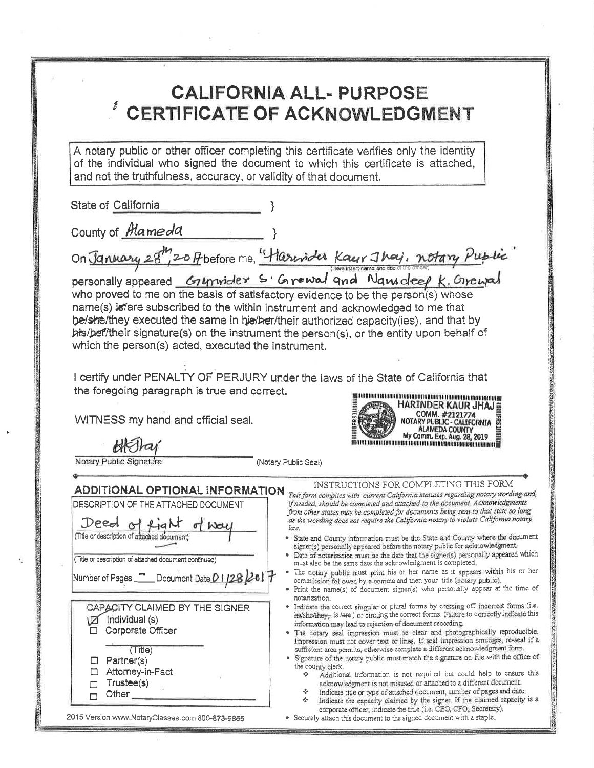# **CALIFORNIA ALL- PURPOSE CERTIFICATE OF ACKNOWLEDGMENT**

A notary public or other officer completing this certificate verifies only the identity of the individual who signed the document to which this certificate is attached, and not the truthfulness, accuracy, or validity of that document.

State of California

County of *Mameda* 

On January 28th 20 fbefore me, "Harrioter Kaur Jhaj, notary Public

personally appeared Grymider S. Grewal and Namedeep K. Grewal who proved to me on the basis of satisfactory evidence to be the person(s) whose name(s) is/are subscribed to the within instrument and acknowledged to me that be/she/they executed the same in his/her/their authorized capacity(ies), and that by bis/bef/their signature(s) on the instrument the person(s), or the entity upon behalf of which the person(s) acted, executed the instrument.

I certify under PENALTY OF PERJURY under the laws of the State of California that the foregoing paragraph is true and correct.

WITNESS my hand and official seal.

Notary Public Signatu

(Notary Public Seal)

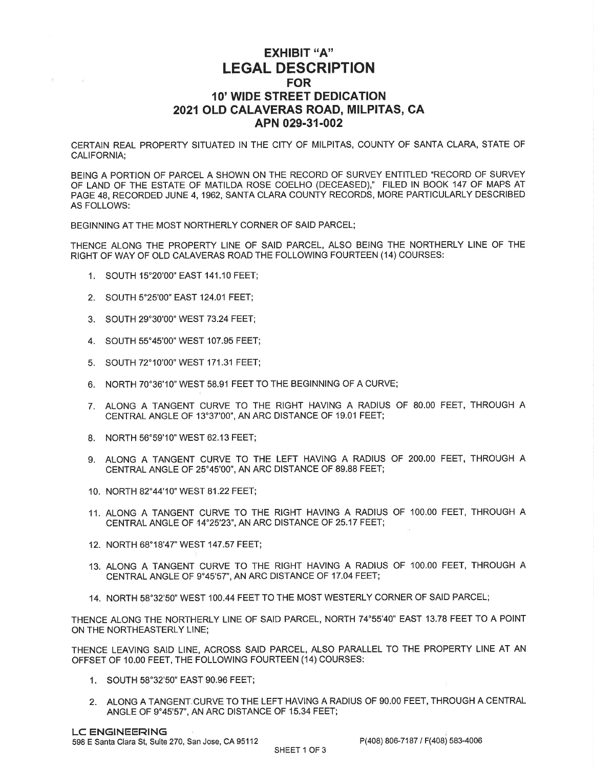#### EXHIBIT "A'' LEGAL DESCRIPTION FOR 1O' WIDE STREET DEDICATION 2021 OLD CALAVERAS ROAD, MILPITAS, CA APN 029-31-002

CERTAIN REAL PROPERTY SITUATED IN THE CITY OF MILPITAS, COUNTY OF SANTA CLARA, STATE OF CALIFORNIA;

BEING A PORTION OF PARCEL A SHOWN ON THE RECORD OF SURVEY ENTITLED "RECORD OF SURVEY OF LAND OF THE ESTATE OF MATILDA ROSE COELHO (DECEASED)," FILED IN BOOK 147 OF MAPS AT PAGE 48, RECORDED JUNE 4, 1962, SANTA CLARA COUNTY RECORDS, MORE PARTICULARLY DESCRIBED AS FOLLOWS:

BEGINNING AT THE MOST NORTHERLY CORNER OF SAID PARCEL;

THENCE ALONG THE PROPERTY LINE OF SAID PARCEL, ALSO BEING THE NORTHERLY LINE OF THE RIGHT OF WAY OF OLD CALAVERAS ROAD THE FOLLOWING FOURTEEN (14) COURSES:

- 1. SOUTH 15"20'OO'EAST 141.10 FEET;
- 2. SOUTH 5'25'OO'EAST 124.01 FEET;
- 3. SOUTH 29"30'OO'WEST 73.24 FEET;
- 4. SOUTH 55"45'OO'WEST 107.95 FEET;
- 5. SOUTH 72'10'OO" WEST 171.31FEET;
- 6. NORTH 70'36'10'WEST 58.91 FEET TO THE BEGINNING OF A CURVE;
- 7. ALONG A TANGENT CURVE TO THE RIGHT HAVING A RADIUS OF 8O.OO FEET, THROUGH A CENTRAL ANGLE OF 13'37'OO'', AN ARC DISTANCE OF 19.01 FEET;
- 8. NORTH 56"59'10'WEST 62.13 FEET;
- 9, ALONG A TANGENT CURVE TO THE LEFT HAVING A RADIUS OF 2OO.OO FEET, THROUGH <sup>A</sup> CENTRAL ANGLE OF 25"45'OO'" AN ARC DISTANCE OF 89.88 FEET;
- 10. NORTH 82°44'10" WEST 81.22 FEET;
- 11. ALONG A TANGENT CURVE TO THE RIGHT HAVING A RADIUS OF 1OO.OO FEET, THROUGH A CENTRAL ANGLE OF 14'25'23'', AN ARC DISTANCE OF 25.17 FEEI;
- 12. NORTH 68'18'47'WEST 147,57 FEET;
- 13. ALONG A TANGENT CURVE TO THE RIGHT HAVING A RADIUS OF 1OO.OO FEET, THROUGH A CENTRAL ANGLE OF 9'45'57', AN ARC DISTANCE OF 17.04 FEET;
- 14. NORTH 58'32'50' WEST 100.44 FEET TO THE MOST WESTERLY CORNER OF SAID PARCEL;

THENCE ALONG THE NORTHERLY LINE OF SAID PARCEL, NORTH 74"55'40" EAST 13.78 FEET TO A POINT ON THE NORTHEASTERLY LINE;

THENCE LEAVING SAID LINE, ACROSS SAID PARCEL, ALSO PARALLEL TO THE PROPERTY LINE AT AN OFFSET OF 10.00 FEET, THE FOLLOWING FOURTEEN (14) COURSES:

- 1. SOUTH 58"32'50' EAST 90.96 FEET;
- 2. ALONG A TANGENT,CURVE TO THE LEFT HAVING A RADIUS OF 9O.OO FEET, THROUGH A CENTRAL ANGLE OF 9"45'57", AN ARC DISTANCE OF 15.34 FEET;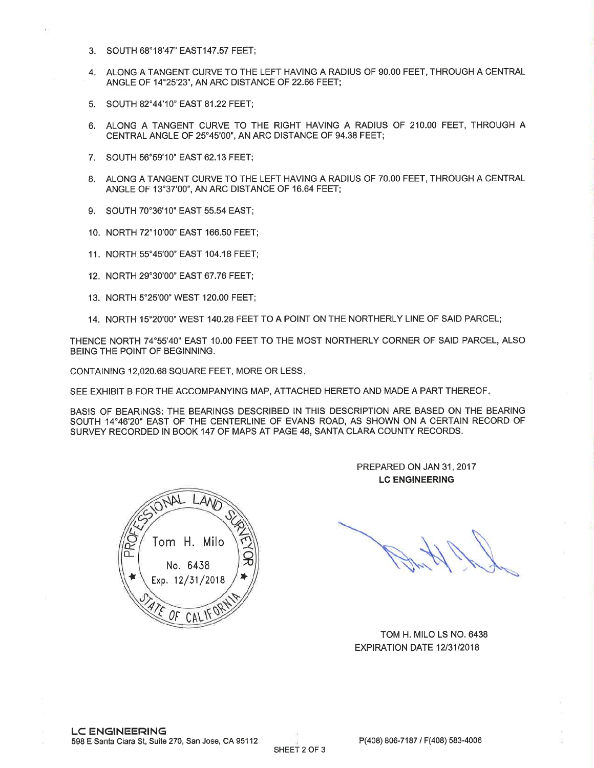- 3. SOUTH 68'18'47" E4ST147.57 FEET;
- 4. ALONG A TANGENT CURVE TO THE LEFT HAVING A RADIUS OF 9O.OO FEET, THROUGH A CENTRAL ANGLE OF 14'25'23'', AN ARC DISTANCE OF 22.66 FEET;
- 5. SOUTH 82°44'10" EAST 81.22 FEET;
- 6. ALONG A TANGENT CURVE TO THE RIGHT HAVING A RADIUS OF 21O.OO FEET, THROUGH A CENTRAL ANGLE OF 25"45'00", AN ARC DISTANCE OF 94.38 FEET;
- 7. SOUTH 56"59'10'EAST 62.13 FEET;
- 8. ALONG A TANGENT CURVE TO THE LEFT HAVING A RADIUS OF 7O.OO FEET, THROUGH A CENTRAL ANGLE OF 13'37'OO'', AN ARC DISTANCE OF 16.64 FEET;
- 9. SOUTH 70"36'10'EAST 55.54 EAST;
- 10. NORTH 72'10'OO'EAST 166.50 FEET;
- 11. NORTH 55'45'OO' EAST 104.18 FEET;
- 12. NORTH 29"30'OO" EAST 67.76 FEET;
- 13. NORTH 5'25'OO'WEST 12O.OO FEET;
- 14. NORTH 15"20'OO'WEST 140.28 FEET TO A POINT ON THE NORTHERLY LINE OF SAID PARCEL;

THENCE NORTH 74"55'40" EAST 1O.OO FEET TO THE MOST NORTHERLY CORNER OF SAID PARCEL, ALSO BEING THE POINT OF BEGINNING.

CONTAINING 12,020.68 SQUARE FEET, MORE OR LESS

SEE EXHIBIT B FOR THE ACCOMPANYING MAP, ATTACHED HERETO AND MADE A PART THEREOF

BASIS OF BEARINGS: THE BEARINGS DESCRIBED IN THIS DESCRIPTION ARE BASED ON THE BEARING SOUTH 14"46'20" EAST OF THE CENTERLINE OF EVANS ROAD, AS SHOWN ON A CERTAIN RECORD OF SURVEY RECORDED IN BOOK 147 OF MAPS AT PAGE 48, SANTA CLARA COUNTY RECORDS.



PREPARED ON JAN 31, 2017 LC ENGINEERING

TOM H. MILO LS NO. 6438 EXPIRATION DATE 12/31/2018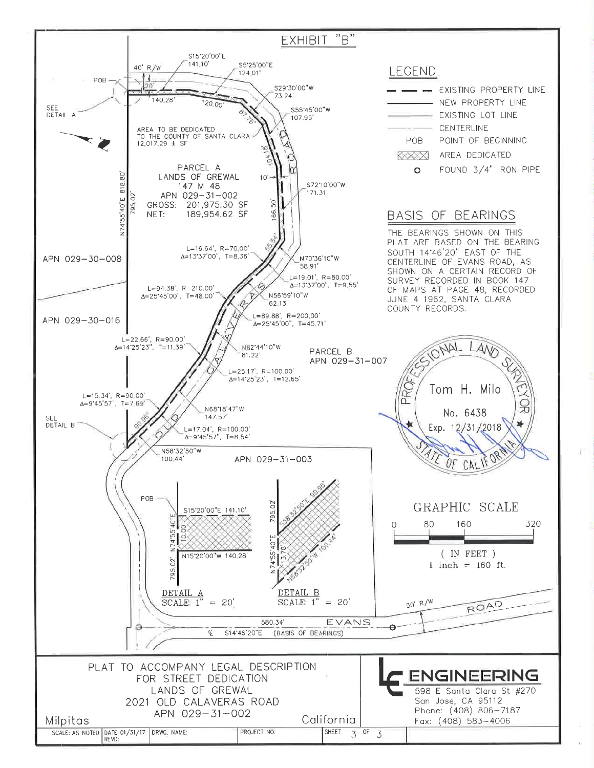